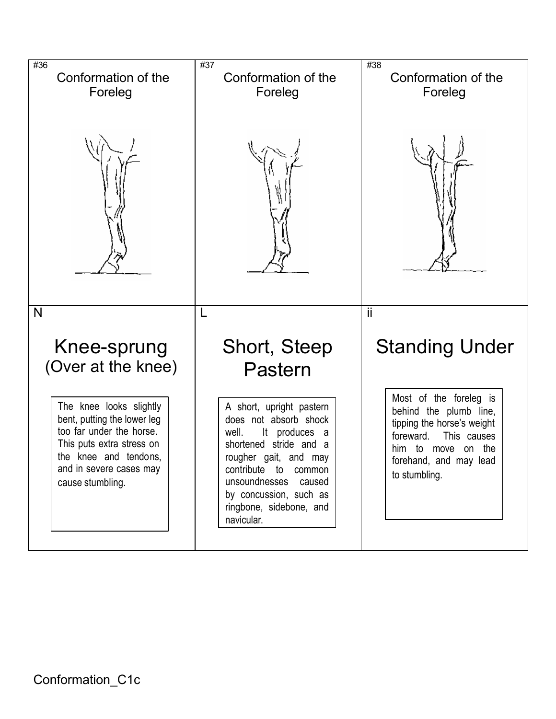